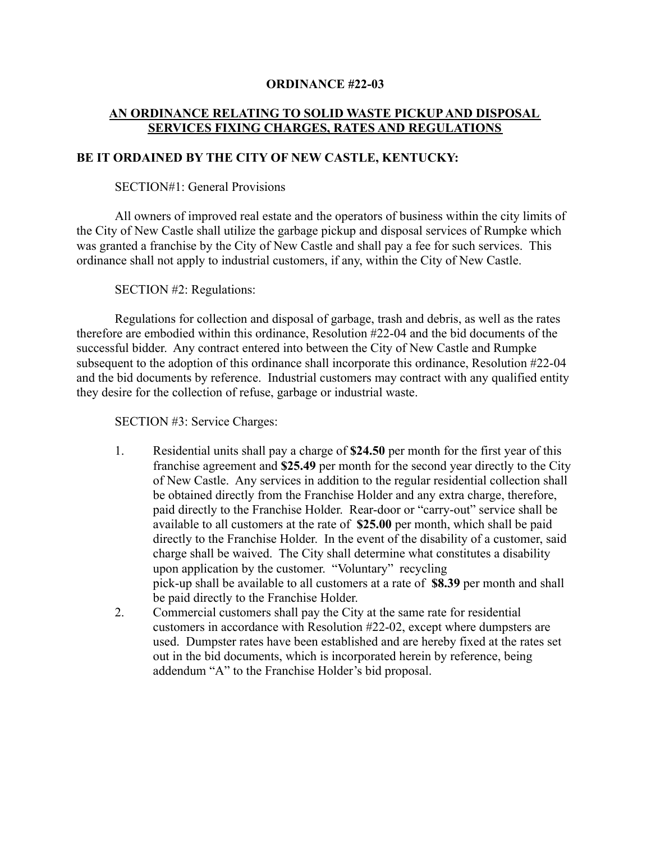### **ORDINANCE #22-03**

# **AN ORDINANCE RELATING TO SOLID WASTE PICKUP AND DISPOSAL SERVICES FIXING CHARGES, RATES AND REGULATIONS**

### **BE IT ORDAINED BY THE CITY OF NEW CASTLE, KENTUCKY:**

### SECTION#1: General Provisions

All owners of improved real estate and the operators of business within the city limits of the City of New Castle shall utilize the garbage pickup and disposal services of Rumpke which was granted a franchise by the City of New Castle and shall pay a fee for such services. This ordinance shall not apply to industrial customers, if any, within the City of New Castle.

SECTION #2: Regulations:

Regulations for collection and disposal of garbage, trash and debris, as well as the rates therefore are embodied within this ordinance, Resolution #22-04 and the bid documents of the successful bidder. Any contract entered into between the City of New Castle and Rumpke subsequent to the adoption of this ordinance shall incorporate this ordinance, Resolution #22-04 and the bid documents by reference. Industrial customers may contract with any qualified entity they desire for the collection of refuse, garbage or industrial waste.

SECTION #3: Service Charges:

- 1. Residential units shall pay a charge of **\$24.50** per month for the first year of this franchise agreement and **\$25.49** per month for the second year directly to the City of New Castle. Any services in addition to the regular residential collection shall be obtained directly from the Franchise Holder and any extra charge, therefore, paid directly to the Franchise Holder. Rear-door or "carry-out" service shall be available to all customers at the rate of **\$25.00** per month, which shall be paid directly to the Franchise Holder. In the event of the disability of a customer, said charge shall be waived. The City shall determine what constitutes a disability upon application by the customer. "Voluntary" recycling pick-up shall be available to all customers at a rate of **\$8.39** per month and shall be paid directly to the Franchise Holder.
- 2. Commercial customers shall pay the City at the same rate for residential customers in accordance with Resolution #22-02, except where dumpsters are used. Dumpster rates have been established and are hereby fixed at the rates set out in the bid documents, which is incorporated herein by reference, being addendum "A" to the Franchise Holder's bid proposal.